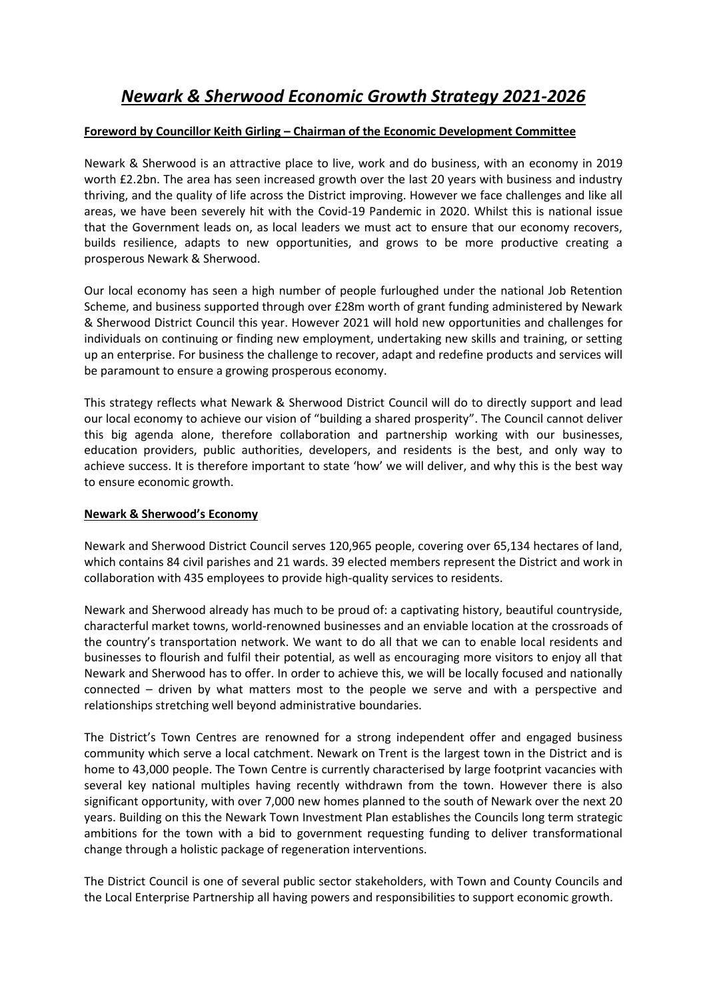## *Newark & Sherwood Economic Growth Strategy 2021-2026*

#### **Foreword by Councillor Keith Girling – Chairman of the Economic Development Committee**

Newark & Sherwood is an attractive place to live, work and do business, with an economy in 2019 worth £2.2bn. The area has seen increased growth over the last 20 years with business and industry thriving, and the quality of life across the District improving. However we face challenges and like all areas, we have been severely hit with the Covid-19 Pandemic in 2020. Whilst this is national issue that the Government leads on, as local leaders we must act to ensure that our economy recovers, builds resilience, adapts to new opportunities, and grows to be more productive creating a prosperous Newark & Sherwood.

Our local economy has seen a high number of people furloughed under the national Job Retention Scheme, and business supported through over £28m worth of grant funding administered by Newark & Sherwood District Council this year. However 2021 will hold new opportunities and challenges for individuals on continuing or finding new employment, undertaking new skills and training, or setting up an enterprise. For business the challenge to recover, adapt and redefine products and services will be paramount to ensure a growing prosperous economy.

This strategy reflects what Newark & Sherwood District Council will do to directly support and lead our local economy to achieve our vision of "building a shared prosperity". The Council cannot deliver this big agenda alone, therefore collaboration and partnership working with our businesses, education providers, public authorities, developers, and residents is the best, and only way to achieve success. It is therefore important to state 'how' we will deliver, and why this is the best way to ensure economic growth.

#### **Newark & Sherwood's Economy**

Newark and Sherwood District Council serves 120,965 people, covering over 65,134 hectares of land, which contains 84 civil parishes and 21 wards. 39 elected members represent the District and work in collaboration with 435 employees to provide high-quality services to residents.

Newark and Sherwood already has much to be proud of: a captivating history, beautiful countryside, characterful market towns, world-renowned businesses and an enviable location at the crossroads of the country's transportation network. We want to do all that we can to enable local residents and businesses to flourish and fulfil their potential, as well as encouraging more visitors to enjoy all that Newark and Sherwood has to offer. In order to achieve this, we will be locally focused and nationally connected – driven by what matters most to the people we serve and with a perspective and relationships stretching well beyond administrative boundaries.

The District's Town Centres are renowned for a strong independent offer and engaged business community which serve a local catchment. Newark on Trent is the largest town in the District and is home to 43,000 people. The Town Centre is currently characterised by large footprint vacancies with several key national multiples having recently withdrawn from the town. However there is also significant opportunity, with over 7,000 new homes planned to the south of Newark over the next 20 years. Building on this the Newark Town Investment Plan establishes the Councils long term strategic ambitions for the town with a bid to government requesting funding to deliver transformational change through a holistic package of regeneration interventions.

The District Council is one of several public sector stakeholders, with Town and County Councils and the Local Enterprise Partnership all having powers and responsibilities to support economic growth.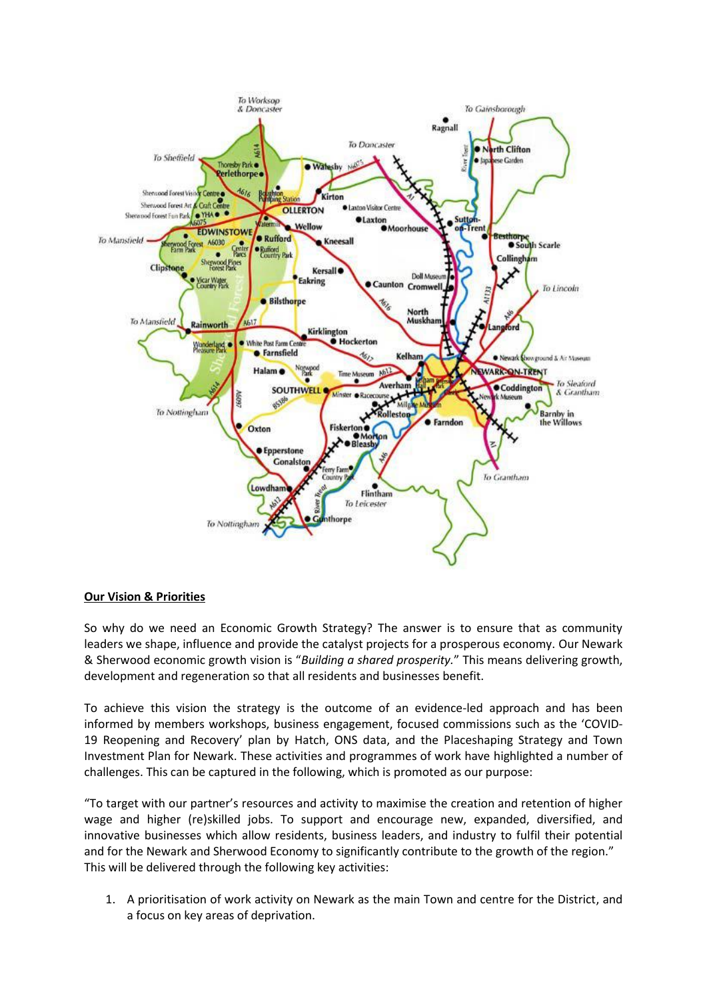

#### **Our Vision & Priorities**

So why do we need an Economic Growth Strategy? The answer is to ensure that as community leaders we shape, influence and provide the catalyst projects for a prosperous economy. Our Newark & Sherwood economic growth vision is "*Building a shared prosperity.*" This means delivering growth, development and regeneration so that all residents and businesses benefit.

To achieve this vision the strategy is the outcome of an evidence-led approach and has been informed by members workshops, business engagement, focused commissions such as the 'COVID-19 Reopening and Recovery' plan by Hatch, ONS data, and the Placeshaping Strategy and Town Investment Plan for Newark. These activities and programmes of work have highlighted a number of challenges. This can be captured in the following, which is promoted as our purpose:

"To target with our partner's resources and activity to maximise the creation and retention of higher wage and higher (re)skilled jobs. To support and encourage new, expanded, diversified, and innovative businesses which allow residents, business leaders, and industry to fulfil their potential and for the Newark and Sherwood Economy to significantly contribute to the growth of the region." This will be delivered through the following key activities:

1. A prioritisation of work activity on Newark as the main Town and centre for the District, and a focus on key areas of deprivation.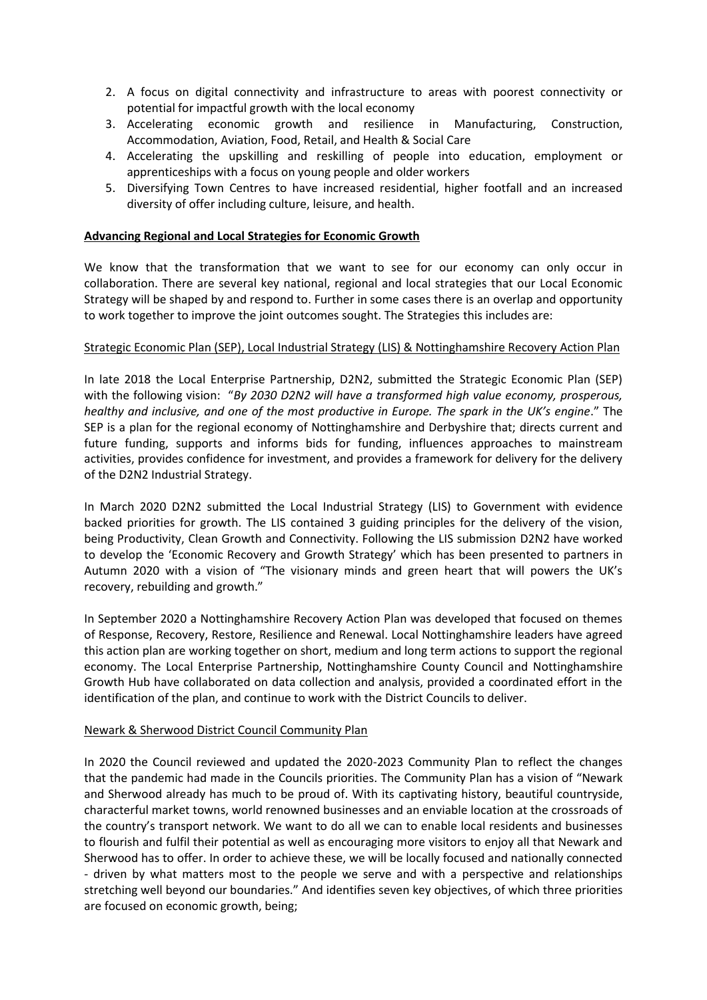- 2. A focus on digital connectivity and infrastructure to areas with poorest connectivity or potential for impactful growth with the local economy
- 3. Accelerating economic growth and resilience in Manufacturing, Construction, Accommodation, Aviation, Food, Retail, and Health & Social Care
- 4. Accelerating the upskilling and reskilling of people into education, employment or apprenticeships with a focus on young people and older workers
- 5. Diversifying Town Centres to have increased residential, higher footfall and an increased diversity of offer including culture, leisure, and health.

#### **Advancing Regional and Local Strategies for Economic Growth**

We know that the transformation that we want to see for our economy can only occur in collaboration. There are several key national, regional and local strategies that our Local Economic Strategy will be shaped by and respond to. Further in some cases there is an overlap and opportunity to work together to improve the joint outcomes sought. The Strategies this includes are:

#### Strategic Economic Plan (SEP), Local Industrial Strategy (LIS) & Nottinghamshire Recovery Action Plan

In late 2018 the Local Enterprise Partnership, D2N2, submitted the Strategic Economic Plan (SEP) with the following vision: "*By 2030 D2N2 will have a transformed high value economy, prosperous, healthy and inclusive, and one of the most productive in Europe. The spark in the UK's engine*." The SEP is a plan for the regional economy of Nottinghamshire and Derbyshire that; directs current and future funding, supports and informs bids for funding, influences approaches to mainstream activities, provides confidence for investment, and provides a framework for delivery for the delivery of the D2N2 Industrial Strategy.

In March 2020 D2N2 submitted the Local Industrial Strategy (LIS) to Government with evidence backed priorities for growth. The LIS contained 3 guiding principles for the delivery of the vision, being Productivity, Clean Growth and Connectivity. Following the LIS submission D2N2 have worked to develop the 'Economic Recovery and Growth Strategy' which has been presented to partners in Autumn 2020 with a vision of "The visionary minds and green heart that will powers the UK's recovery, rebuilding and growth."

In September 2020 a Nottinghamshire Recovery Action Plan was developed that focused on themes of Response, Recovery, Restore, Resilience and Renewal. Local Nottinghamshire leaders have agreed this action plan are working together on short, medium and long term actions to support the regional economy. The Local Enterprise Partnership, Nottinghamshire County Council and Nottinghamshire Growth Hub have collaborated on data collection and analysis, provided a coordinated effort in the identification of the plan, and continue to work with the District Councils to deliver.

#### Newark & Sherwood District Council Community Plan

In 2020 the Council reviewed and updated the 2020-2023 Community Plan to reflect the changes that the pandemic had made in the Councils priorities. The Community Plan has a vision of "Newark and Sherwood already has much to be proud of. With its captivating history, beautiful countryside, characterful market towns, world renowned businesses and an enviable location at the crossroads of the country's transport network. We want to do all we can to enable local residents and businesses to flourish and fulfil their potential as well as encouraging more visitors to enjoy all that Newark and Sherwood has to offer. In order to achieve these, we will be locally focused and nationally connected - driven by what matters most to the people we serve and with a perspective and relationships stretching well beyond our boundaries." And identifies seven key objectives, of which three priorities are focused on economic growth, being;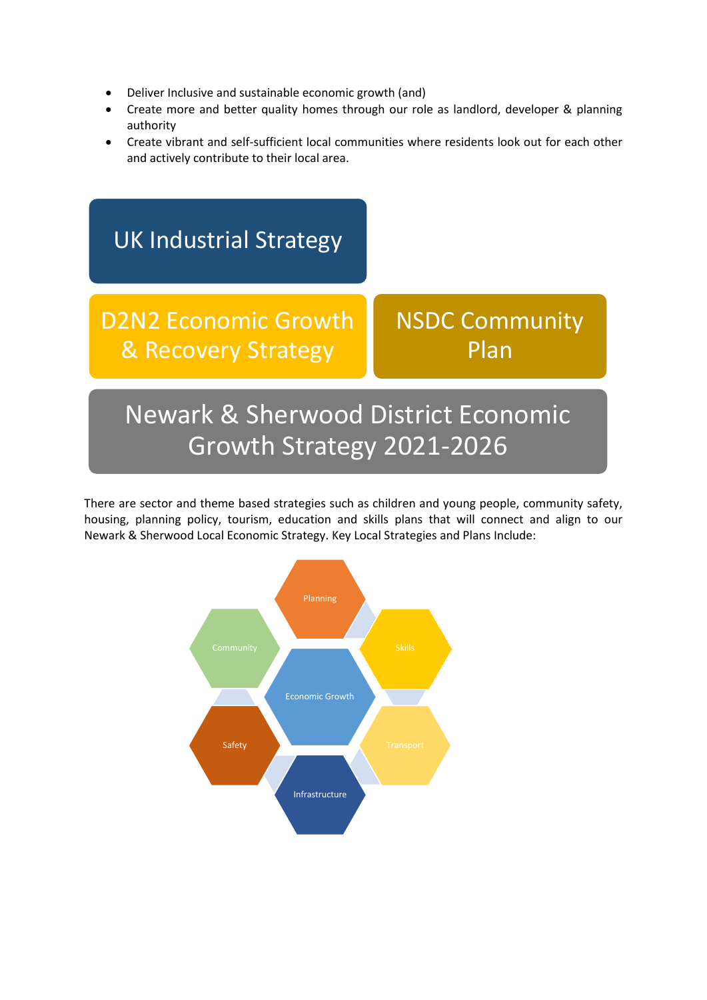- Deliver Inclusive and sustainable economic growth (and)
- Create more and better quality homes through our role as landlord, developer & planning authority
- Create vibrant and self-sufficient local communities where residents look out for each other and actively contribute to their local area.



There are sector and theme based strategies such as children and young people, community safety, housing, planning policy, tourism, education and skills plans that will connect and align to our Newark & Sherwood Local Economic Strategy. Key Local Strategies and Plans Include:

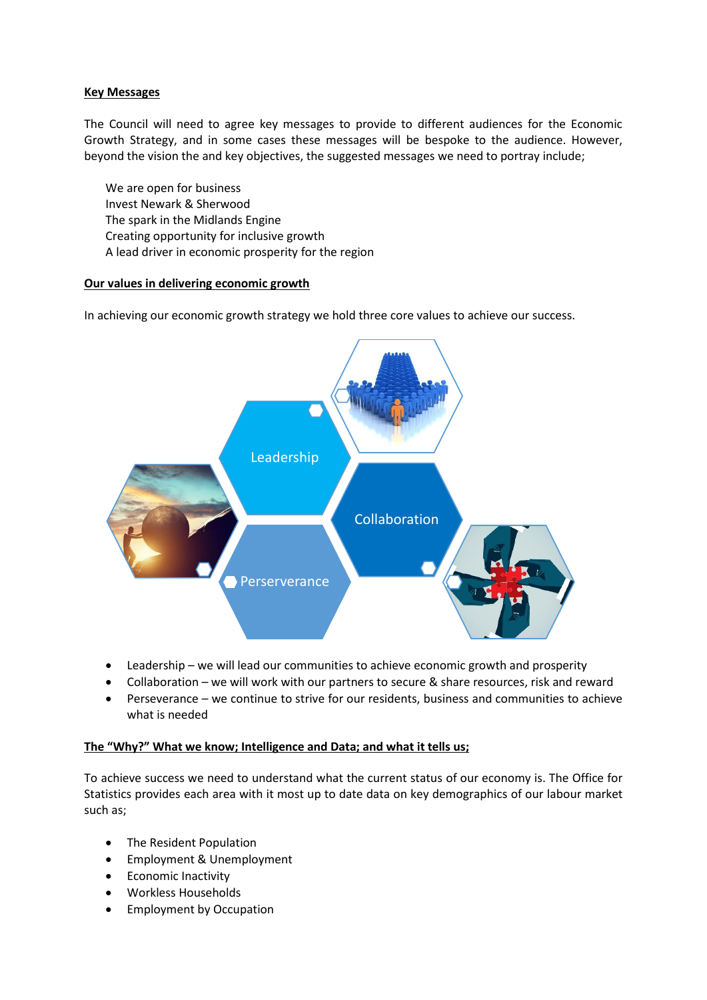#### **Key Messages**

The Council will need to agree key messages to provide to different audiences for the Economic Growth Strategy, and in some cases these messages will be bespoke to the audience. However, beyond the vision the and key objectives, the suggested messages we need to portray include;

We are open for business Invest Newark & Sherwood The spark in the Midlands Engine Creating opportunity for inclusive growth A lead driver in economic prosperity for the region

#### **Our values in delivering economic growth**

In achieving our economic growth strategy we hold three core values to achieve our success.



- Leadership we will lead our communities to achieve economic growth and prosperity
- Collaboration we will work with our partners to secure & share resources, risk and reward
- Perseverance we continue to strive for our residents, business and communities to achieve what is needed

#### **The "Why?" What we know; Intelligence and Data; and what it tells us;**

To achieve success we need to understand what the current status of our economy is. The Office for Statistics provides each area with it most up to date data on key demographics of our labour market such as;

- The Resident Population
- Employment & Unemployment
- Economic Inactivity
- Workless Households
- **•** Employment by Occupation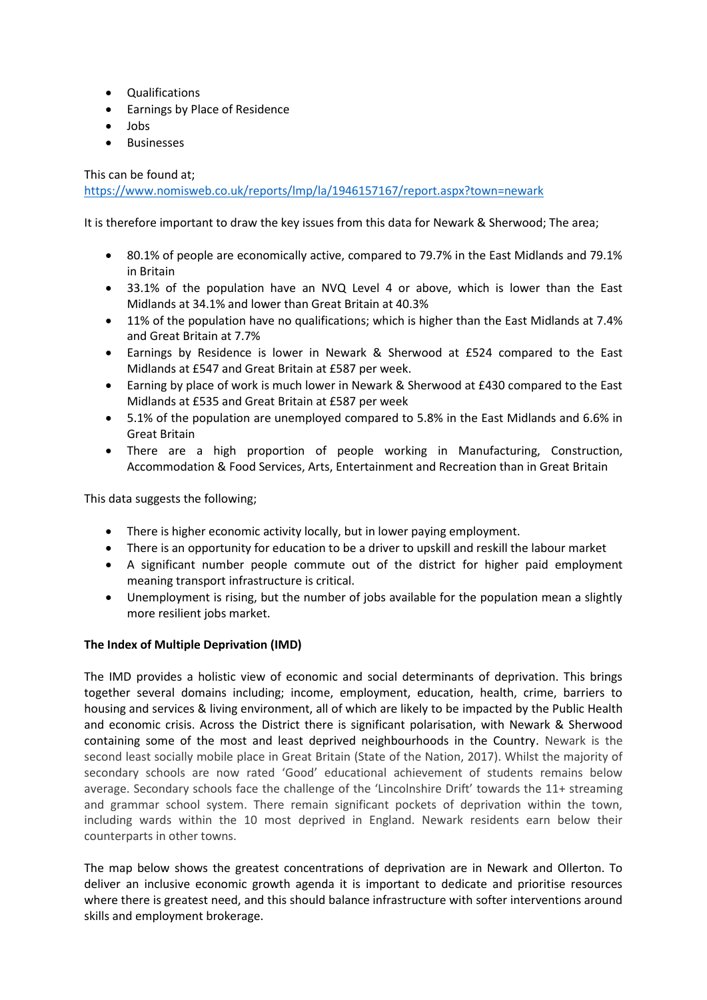- Qualifications
- **•** Earnings by Place of Residence
- Jobs
- Businesses

This can be found at;

<https://www.nomisweb.co.uk/reports/lmp/la/1946157167/report.aspx?town=newark>

It is therefore important to draw the key issues from this data for Newark & Sherwood; The area;

- 80.1% of people are economically active, compared to 79.7% in the East Midlands and 79.1% in Britain
- 33.1% of the population have an NVQ Level 4 or above, which is lower than the East Midlands at 34.1% and lower than Great Britain at 40.3%
- 11% of the population have no qualifications; which is higher than the East Midlands at 7.4% and Great Britain at 7.7%
- Earnings by Residence is lower in Newark & Sherwood at £524 compared to the East Midlands at £547 and Great Britain at £587 per week.
- Earning by place of work is much lower in Newark & Sherwood at £430 compared to the East Midlands at £535 and Great Britain at £587 per week
- 5.1% of the population are unemployed compared to 5.8% in the East Midlands and 6.6% in Great Britain
- There are a high proportion of people working in Manufacturing, Construction, Accommodation & Food Services, Arts, Entertainment and Recreation than in Great Britain

This data suggests the following;

- There is higher economic activity locally, but in lower paying employment.
- There is an opportunity for education to be a driver to upskill and reskill the labour market
- A significant number people commute out of the district for higher paid employment meaning transport infrastructure is critical.
- Unemployment is rising, but the number of jobs available for the population mean a slightly more resilient jobs market.

#### **The Index of Multiple Deprivation (IMD)**

The IMD provides a holistic view of economic and social determinants of deprivation. This brings together several domains including; income, employment, education, health, crime, barriers to housing and services & living environment, all of which are likely to be impacted by the Public Health and economic crisis. Across the District there is significant polarisation, with Newark & Sherwood containing some of the most and least deprived neighbourhoods in the Country. Newark is the second least socially mobile place in Great Britain (State of the Nation, 2017). Whilst the majority of secondary schools are now rated 'Good' educational achievement of students remains below average. Secondary schools face the challenge of the 'Lincolnshire Drift' towards the 11+ streaming and grammar school system. There remain significant pockets of deprivation within the town, including wards within the 10 most deprived in England. Newark residents earn below their counterparts in other towns.

The map below shows the greatest concentrations of deprivation are in Newark and Ollerton. To deliver an inclusive economic growth agenda it is important to dedicate and prioritise resources where there is greatest need, and this should balance infrastructure with softer interventions around skills and employment brokerage.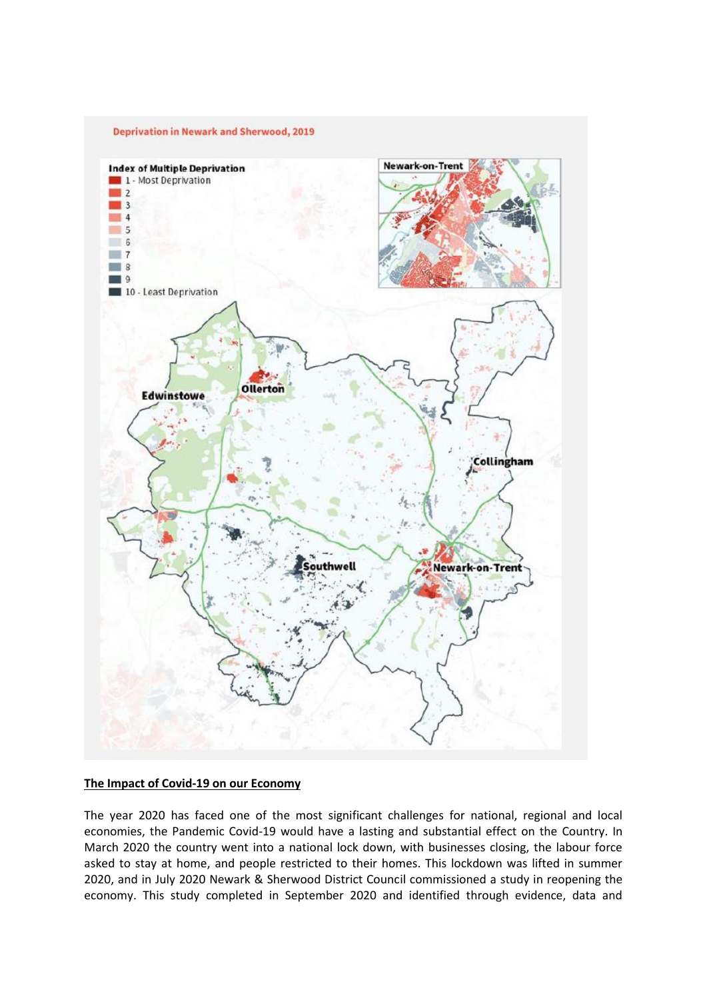

#### **The Impact of Covid-19 on our Economy**

The year 2020 has faced one of the most significant challenges for national, regional and local economies, the Pandemic Covid-19 would have a lasting and substantial effect on the Country. In March 2020 the country went into a national lock down, with businesses closing, the labour force asked to stay at home, and people restricted to their homes. This lockdown was lifted in summer 2020, and in July 2020 Newark & Sherwood District Council commissioned a study in reopening the economy. This study completed in September 2020 and identified through evidence, data and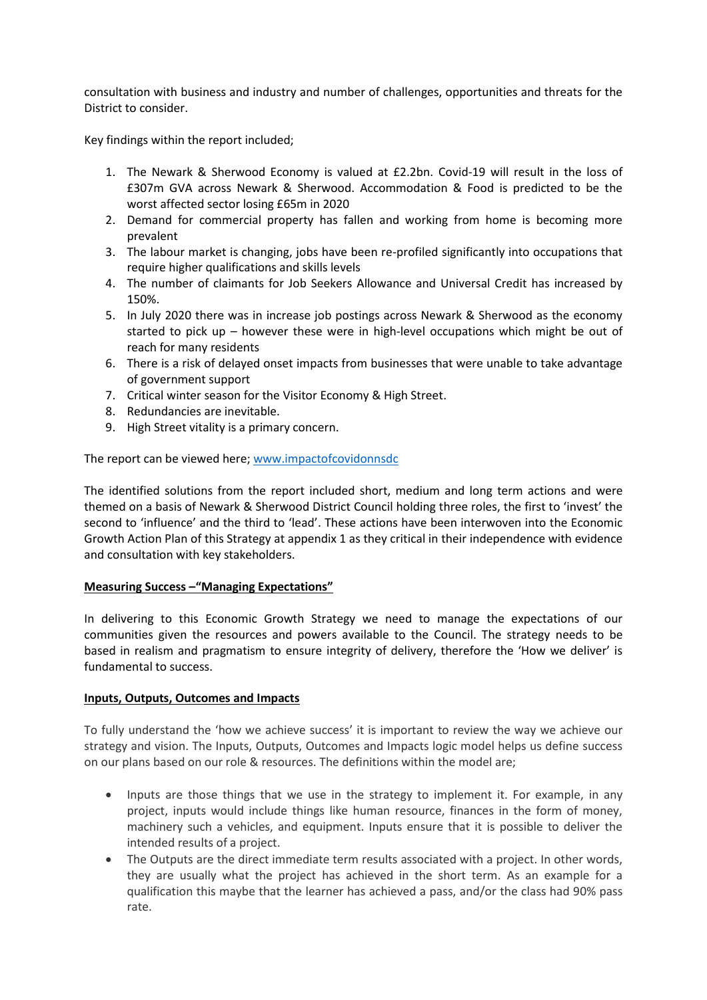consultation with business and industry and number of challenges, opportunities and threats for the District to consider.

Key findings within the report included;

- 1. The Newark & Sherwood Economy is valued at £2.2bn. Covid-19 will result in the loss of £307m GVA across Newark & Sherwood. Accommodation & Food is predicted to be the worst affected sector losing £65m in 2020
- 2. Demand for commercial property has fallen and working from home is becoming more prevalent
- 3. The labour market is changing, jobs have been re-profiled significantly into occupations that require higher qualifications and skills levels
- 4. The number of claimants for Job Seekers Allowance and Universal Credit has increased by 150%.
- 5. In July 2020 there was in increase job postings across Newark & Sherwood as the economy started to pick up – however these were in high-level occupations which might be out of reach for many residents
- 6. There is a risk of delayed onset impacts from businesses that were unable to take advantage of government support
- 7. Critical winter season for the Visitor Economy & High Street.
- 8. Redundancies are inevitable.
- 9. High Street vitality is a primary concern.

The report can be viewed here; [www.impactofcovidonnsdc](http://www.impactofcovidonnsdc/)

The identified solutions from the report included short, medium and long term actions and were themed on a basis of Newark & Sherwood District Council holding three roles, the first to 'invest' the second to 'influence' and the third to 'lead'. These actions have been interwoven into the Economic Growth Action Plan of this Strategy at appendix 1 as they critical in their independence with evidence and consultation with key stakeholders.

#### **Measuring Success –"Managing Expectations"**

In delivering to this Economic Growth Strategy we need to manage the expectations of our communities given the resources and powers available to the Council. The strategy needs to be based in realism and pragmatism to ensure integrity of delivery, therefore the 'How we deliver' is fundamental to success.

#### **Inputs, Outputs, Outcomes and Impacts**

To fully understand the 'how we achieve success' it is important to review the way we achieve our strategy and vision. The Inputs, Outputs, Outcomes and Impacts logic model helps us define success on our plans based on our role & resources. The definitions within the model are;

- Inputs are those things that we use in the strategy to implement it. For example, in any project, inputs would include things like human resource, finances in the form of money, machinery such a vehicles, and equipment. Inputs ensure that it is possible to deliver the intended results of a project.
- The Outputs are the direct immediate term results associated with a project. In other words, they are usually what the project has achieved in the short term. As an example for a qualification this maybe that the learner has achieved a pass, and/or the class had 90% pass rate.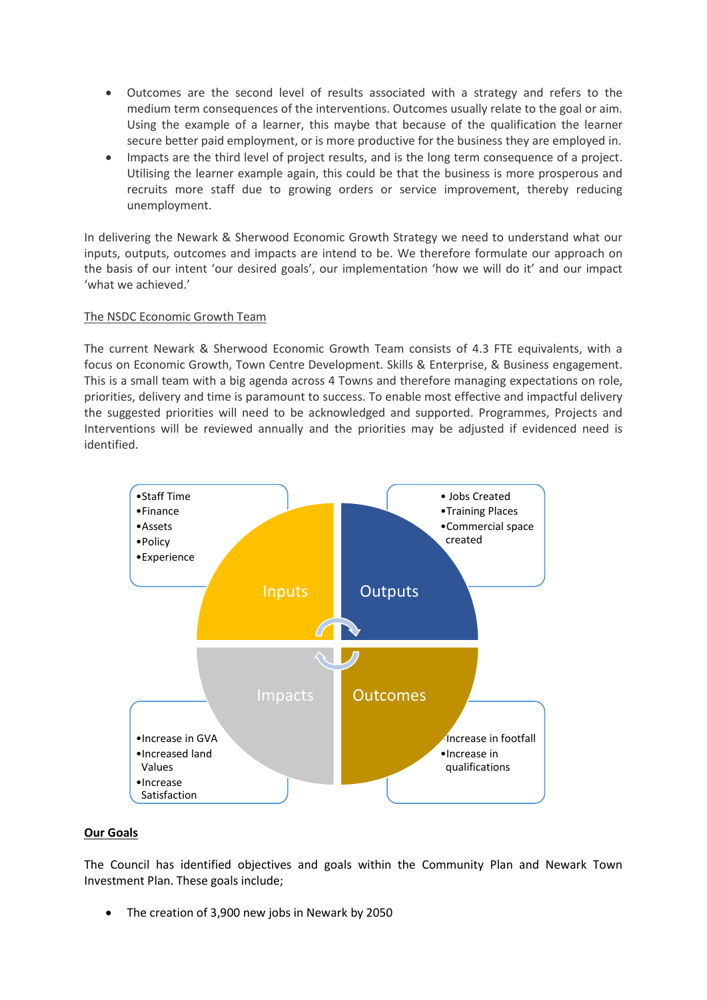- Outcomes are the second level of results associated with a strategy and refers to the medium term consequences of the interventions. Outcomes usually relate to the goal or aim. Using the example of a learner, this maybe that because of the qualification the learner secure better paid employment, or is more productive for the business they are employed in.
- Impacts are the third level of project results, and is the long term consequence of a project. Utilising the learner example again, this could be that the business is more prosperous and recruits more staff due to growing orders or service improvement, thereby reducing unemployment.

In delivering the Newark & Sherwood Economic Growth Strategy we need to understand what our inputs, outputs, outcomes and impacts are intend to be. We therefore formulate our approach on the basis of our intent 'our desired goals', our implementation 'how we will do it' and our impact 'what we achieved.'

#### The NSDC Economic Growth Team

The current Newark & Sherwood Economic Growth Team consists of 4.3 FTE equivalents, with a focus on Economic Growth, Town Centre Development. Skills & Enterprise, & Business engagement. This is a small team with a big agenda across 4 Towns and therefore managing expectations on role, priorities, delivery and time is paramount to success. To enable most effective and impactful delivery the suggested priorities will need to be acknowledged and supported. Programmes, Projects and Interventions will be reviewed annually and the priorities may be adjusted if evidenced need is identified.



#### **Our Goals**

The Council has identified objectives and goals within the Community Plan and Newark Town Investment Plan. These goals include;

The creation of 3,900 new jobs in Newark by 2050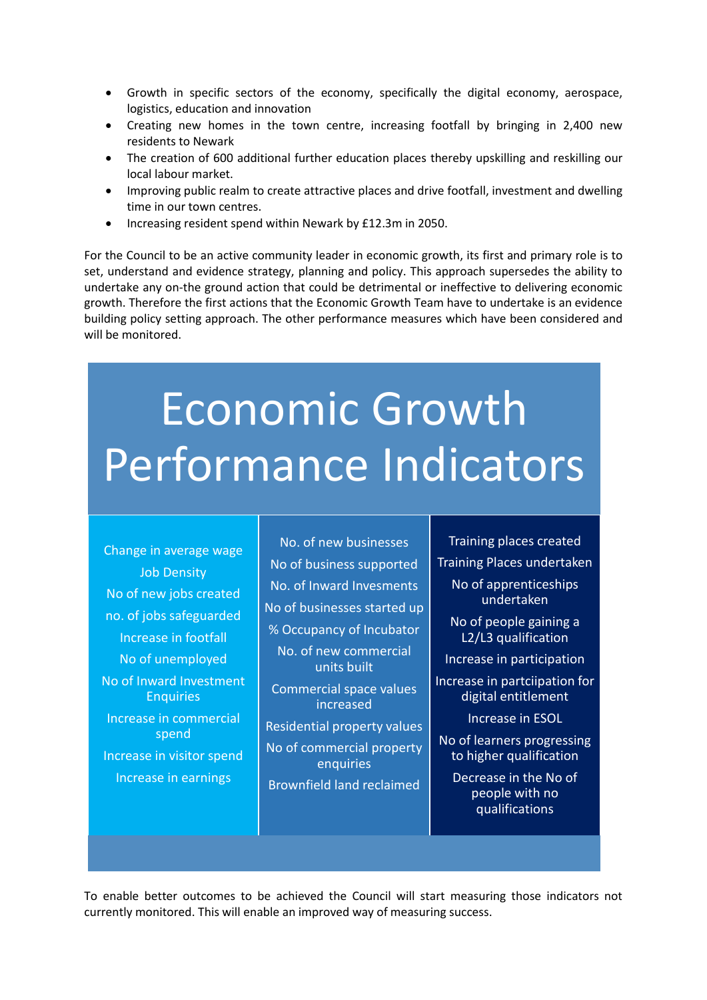- Growth in specific sectors of the economy, specifically the digital economy, aerospace, logistics, education and innovation
- Creating new homes in the town centre, increasing footfall by bringing in 2,400 new residents to Newark
- The creation of 600 additional further education places thereby upskilling and reskilling our local labour market.
- Improving public realm to create attractive places and drive footfall, investment and dwelling time in our town centres.
- Increasing resident spend within Newark by £12.3m in 2050.

For the Council to be an active community leader in economic growth, its first and primary role is to set, understand and evidence strategy, planning and policy. This approach supersedes the ability to undertake any on-the ground action that could be detrimental or ineffective to delivering economic growth. Therefore the first actions that the Economic Growth Team have to undertake is an evidence building policy setting approach. The other performance measures which have been considered and will be monitored.

# Economic Growth Performance Indicators

Change in average wage Job Density No of new jobs created no. of jobs safeguarded Increase in footfall No of unemployed No of Inward Investment **Enquiries** Increase in commercial spend Increase in visitor spend Increase in earnings

No. of new businesses No of business supported No. of Inward Invesments No of businesses started up % Occupancy of Incubator

No. of new commercial units built

Commercial space values increased

Residential property values No of commercial property enquiries Brownfield land reclaimed

Training places created Training Places undertaken No of apprenticeships

- undertaken No of people gaining a
- L2/L3 qualification

Increase in participation

Increase in partciipation for digital entitlement

Increase in ESOL

No of learners progressing to higher qualification

Decrease in the No of people with no qualifications

To enable better outcomes to be achieved the Council will start measuring those indicators not currently monitored. This will enable an improved way of measuring success.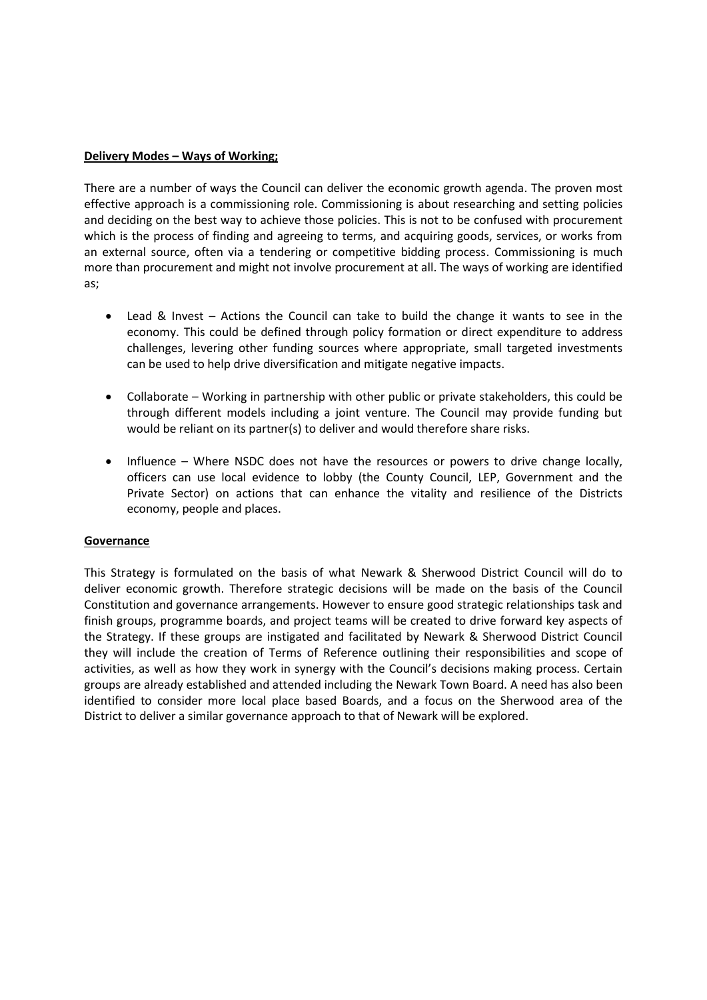#### **Delivery Modes – Ways of Working;**

There are a number of ways the Council can deliver the economic growth agenda. The proven most effective approach is a commissioning role. Commissioning is about researching and setting policies and deciding on the best way to achieve those policies. This is not to be confused with procurement which is the process of finding and agreeing to terms, and acquiring goods, services, or works from an external source, often via a tendering or competitive bidding process. Commissioning is much more than procurement and might not involve procurement at all. The ways of working are identified as;

- Lead & Invest Actions the Council can take to build the change it wants to see in the economy. This could be defined through policy formation or direct expenditure to address challenges, levering other funding sources where appropriate, small targeted investments can be used to help drive diversification and mitigate negative impacts.
- Collaborate Working in partnership with other public or private stakeholders, this could be through different models including a joint venture. The Council may provide funding but would be reliant on its partner(s) to deliver and would therefore share risks.
- Influence Where NSDC does not have the resources or powers to drive change locally, officers can use local evidence to lobby (the County Council, LEP, Government and the Private Sector) on actions that can enhance the vitality and resilience of the Districts economy, people and places.

#### **Governance**

This Strategy is formulated on the basis of what Newark & Sherwood District Council will do to deliver economic growth. Therefore strategic decisions will be made on the basis of the Council Constitution and governance arrangements. However to ensure good strategic relationships task and finish groups, programme boards, and project teams will be created to drive forward key aspects of the Strategy. If these groups are instigated and facilitated by Newark & Sherwood District Council they will include the creation of Terms of Reference outlining their responsibilities and scope of activities, as well as how they work in synergy with the Council's decisions making process. Certain groups are already established and attended including the Newark Town Board. A need has also been identified to consider more local place based Boards, and a focus on the Sherwood area of the District to deliver a similar governance approach to that of Newark will be explored.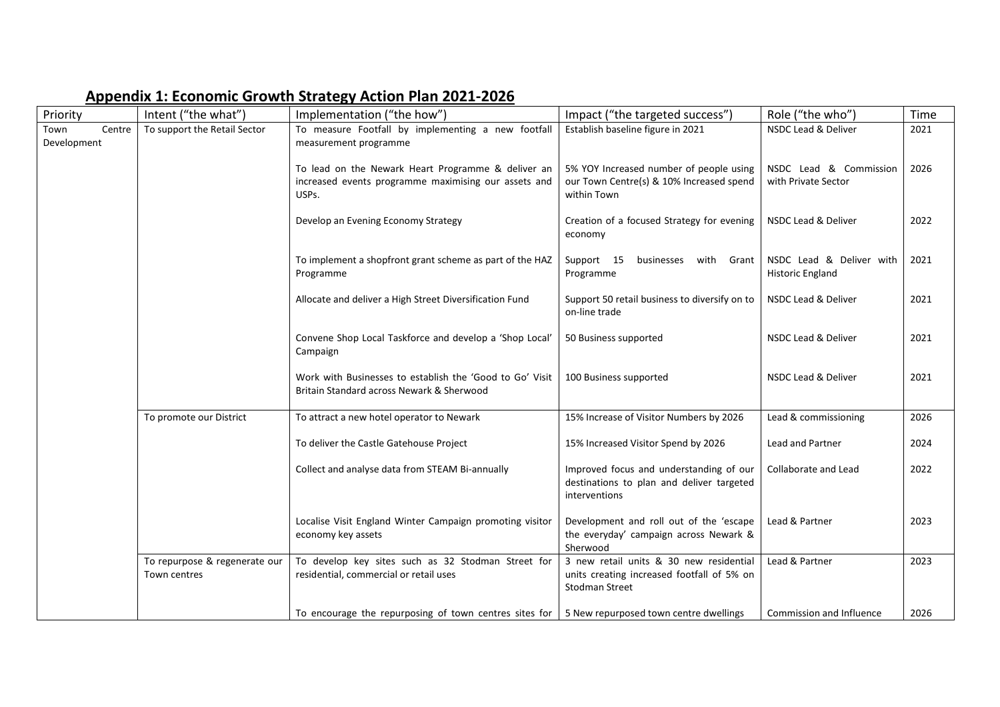| Priority                      | Intent ("the what")                           | Implementation ("the how")                                                                                          | Impact ("the targeted success")                                                                                | Role ("the who")                                    | Time |
|-------------------------------|-----------------------------------------------|---------------------------------------------------------------------------------------------------------------------|----------------------------------------------------------------------------------------------------------------|-----------------------------------------------------|------|
| Centre<br>Town<br>Development | To support the Retail Sector                  | To measure Footfall by implementing a new footfall<br>measurement programme                                         | Establish baseline figure in 2021                                                                              | <b>NSDC Lead &amp; Deliver</b>                      | 2021 |
|                               |                                               | To lead on the Newark Heart Programme & deliver an<br>increased events programme maximising our assets and<br>USPs. | 5% YOY Increased number of people using<br>our Town Centre(s) & 10% Increased spend<br>within Town             | NSDC Lead & Commission<br>with Private Sector       | 2026 |
|                               |                                               | Develop an Evening Economy Strategy                                                                                 | Creation of a focused Strategy for evening<br>economy                                                          | NSDC Lead & Deliver                                 | 2022 |
|                               |                                               | To implement a shopfront grant scheme as part of the HAZ<br>Programme                                               | Support 15<br>businesses<br>with<br>Grant<br>Programme                                                         | NSDC Lead & Deliver with<br><b>Historic England</b> | 2021 |
|                               |                                               | Allocate and deliver a High Street Diversification Fund                                                             | Support 50 retail business to diversify on to<br>on-line trade                                                 | <b>NSDC Lead &amp; Deliver</b>                      | 2021 |
|                               |                                               | Convene Shop Local Taskforce and develop a 'Shop Local'<br>Campaign                                                 | 50 Business supported                                                                                          | NSDC Lead & Deliver                                 | 2021 |
|                               |                                               | Work with Businesses to establish the 'Good to Go' Visit<br>Britain Standard across Newark & Sherwood               | 100 Business supported                                                                                         | NSDC Lead & Deliver                                 | 2021 |
|                               | To promote our District                       | To attract a new hotel operator to Newark                                                                           | 15% Increase of Visitor Numbers by 2026                                                                        | Lead & commissioning                                | 2026 |
|                               |                                               | To deliver the Castle Gatehouse Project                                                                             | 15% Increased Visitor Spend by 2026                                                                            | Lead and Partner                                    | 2024 |
|                               |                                               | Collect and analyse data from STEAM Bi-annually                                                                     | Improved focus and understanding of our<br>destinations to plan and deliver targeted<br>interventions          | Collaborate and Lead                                | 2022 |
|                               |                                               | Localise Visit England Winter Campaign promoting visitor<br>economy key assets                                      | Development and roll out of the 'escape<br>the everyday' campaign across Newark &<br>Sherwood                  | Lead & Partner                                      | 2023 |
|                               | To repurpose & regenerate our<br>Town centres | To develop key sites such as 32 Stodman Street for<br>residential, commercial or retail uses                        | 3 new retail units & 30 new residential<br>units creating increased footfall of 5% on<br><b>Stodman Street</b> | Lead & Partner                                      | 2023 |
|                               |                                               | To encourage the repurposing of town centres sites for $\vert$ 5 New repurposed town centre dwellings               |                                                                                                                | Commission and Influence                            | 2026 |

## **Appendix 1: Economic Growth Strategy Action Plan 2021-2026**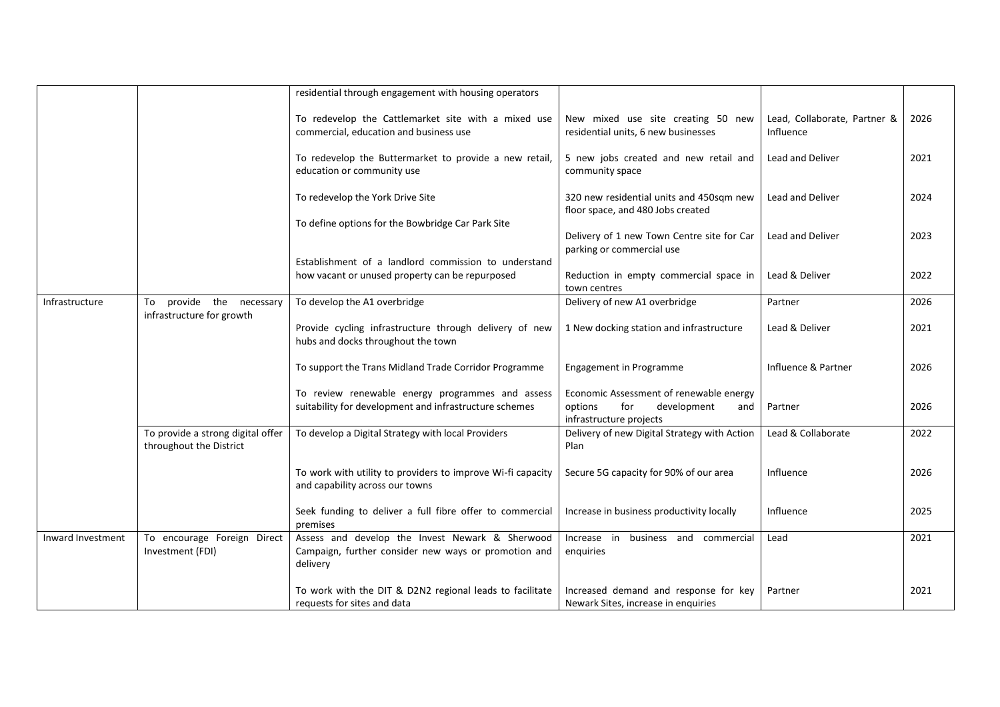|                   |                                                              | residential through engagement with housing operators                                                               |                                                                                                            |                                           |      |
|-------------------|--------------------------------------------------------------|---------------------------------------------------------------------------------------------------------------------|------------------------------------------------------------------------------------------------------------|-------------------------------------------|------|
|                   |                                                              | To redevelop the Cattlemarket site with a mixed use<br>commercial, education and business use                       | New mixed use site creating 50 new<br>residential units, 6 new businesses                                  | Lead, Collaborate, Partner &<br>Influence | 2026 |
|                   |                                                              | To redevelop the Buttermarket to provide a new retail,<br>education or community use                                | 5 new jobs created and new retail and<br>community space                                                   | <b>Lead and Deliver</b>                   | 2021 |
|                   |                                                              | To redevelop the York Drive Site                                                                                    | 320 new residential units and 450sqm new<br>floor space, and 480 Jobs created                              | <b>Lead and Deliver</b>                   | 2024 |
|                   |                                                              | To define options for the Bowbridge Car Park Site                                                                   | Delivery of 1 new Town Centre site for Car<br>parking or commercial use                                    | <b>Lead and Deliver</b>                   | 2023 |
|                   |                                                              | Establishment of a landlord commission to understand<br>how vacant or unused property can be repurposed             | Reduction in empty commercial space in<br>town centres                                                     | Lead & Deliver                            | 2022 |
| Infrastructure    | provide the necessary<br>To<br>infrastructure for growth     | To develop the A1 overbridge                                                                                        | Delivery of new A1 overbridge                                                                              | Partner                                   | 2026 |
|                   |                                                              | Provide cycling infrastructure through delivery of new<br>hubs and docks throughout the town                        | 1 New docking station and infrastructure                                                                   | Lead & Deliver                            | 2021 |
|                   |                                                              | To support the Trans Midland Trade Corridor Programme                                                               | <b>Engagement in Programme</b>                                                                             | Influence & Partner                       | 2026 |
|                   |                                                              | To review renewable energy programmes and assess<br>suitability for development and infrastructure schemes          | Economic Assessment of renewable energy<br>for<br>development<br>options<br>and<br>infrastructure projects | Partner                                   | 2026 |
|                   | To provide a strong digital offer<br>throughout the District | To develop a Digital Strategy with local Providers                                                                  | Delivery of new Digital Strategy with Action<br>Plan                                                       | Lead & Collaborate                        | 2022 |
|                   |                                                              | To work with utility to providers to improve Wi-fi capacity<br>and capability across our towns                      | Secure 5G capacity for 90% of our area                                                                     | Influence                                 | 2026 |
|                   |                                                              | Seek funding to deliver a full fibre offer to commercial<br>premises                                                | Increase in business productivity locally                                                                  | Influence                                 | 2025 |
| Inward Investment | To encourage Foreign Direct<br>Investment (FDI)              | Assess and develop the Invest Newark & Sherwood<br>Campaign, further consider new ways or promotion and<br>delivery | Increase in business and commercial<br>enguiries                                                           | Lead                                      | 2021 |
|                   |                                                              | To work with the DIT & D2N2 regional leads to facilitate<br>requests for sites and data                             | Increased demand and response for key<br>Newark Sites, increase in enquiries                               | Partner                                   | 2021 |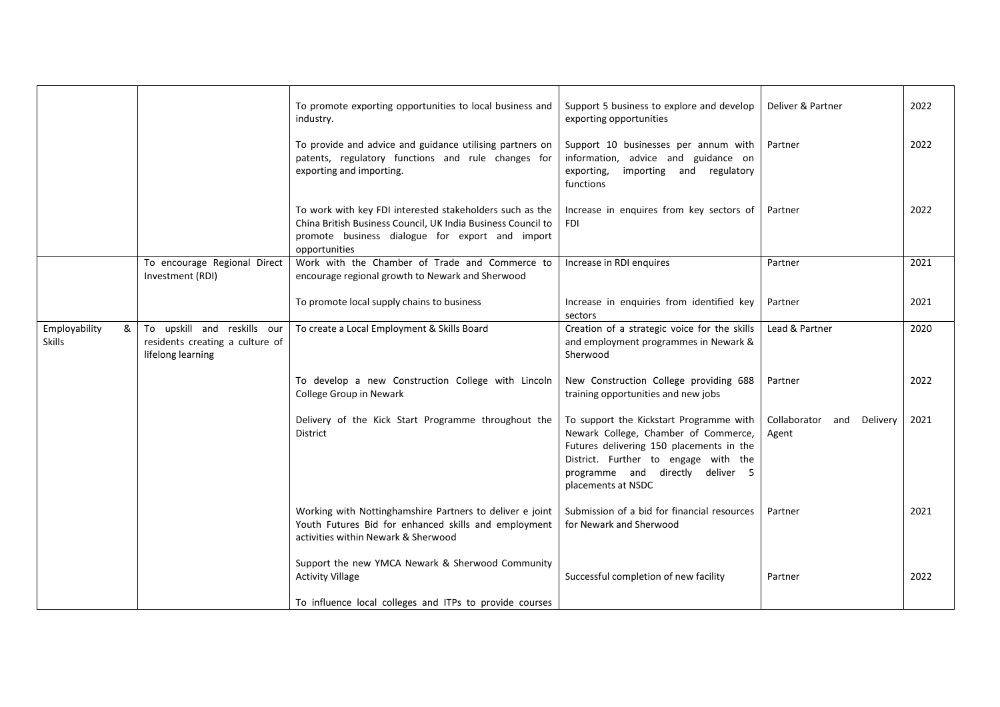|                                     |                                                                                     | To promote exporting opportunities to local business and<br>industry.                                                                                                                        | Support 5 business to explore and develop<br>exporting opportunities                                                                                                                                                          | Deliver & Partner                  | 2022 |
|-------------------------------------|-------------------------------------------------------------------------------------|----------------------------------------------------------------------------------------------------------------------------------------------------------------------------------------------|-------------------------------------------------------------------------------------------------------------------------------------------------------------------------------------------------------------------------------|------------------------------------|------|
|                                     |                                                                                     | To provide and advice and guidance utilising partners on<br>patents, regulatory functions and rule changes for<br>exporting and importing.                                                   | Support 10 businesses per annum with<br>information, advice and guidance on<br>exporting,<br>importing and regulatory<br>functions                                                                                            | Partner                            | 2022 |
|                                     |                                                                                     | To work with key FDI interested stakeholders such as the<br>China British Business Council, UK India Business Council to<br>promote business dialogue for export and import<br>opportunities | Increase in enquires from key sectors of<br>FDI                                                                                                                                                                               | Partner                            | 2022 |
|                                     | To encourage Regional Direct<br>Investment (RDI)                                    | Work with the Chamber of Trade and Commerce to<br>encourage regional growth to Newark and Sherwood                                                                                           | Increase in RDI enquires                                                                                                                                                                                                      | Partner                            | 2021 |
|                                     |                                                                                     | To promote local supply chains to business                                                                                                                                                   | Increase in enquiries from identified key<br>sectors                                                                                                                                                                          | Partner                            | 2021 |
| Employability<br>&<br><b>Skills</b> | To upskill and reskills our<br>residents creating a culture of<br>lifelong learning | To create a Local Employment & Skills Board                                                                                                                                                  | Creation of a strategic voice for the skills<br>and employment programmes in Newark &<br>Sherwood                                                                                                                             | Lead & Partner                     | 2020 |
|                                     |                                                                                     | To develop a new Construction College with Lincoln<br>College Group in Newark                                                                                                                | New Construction College providing 688<br>training opportunities and new jobs                                                                                                                                                 | Partner                            | 2022 |
|                                     |                                                                                     | Delivery of the Kick Start Programme throughout the<br>District                                                                                                                              | To support the Kickstart Programme with<br>Newark College, Chamber of Commerce,<br>Futures delivering 150 placements in the<br>District. Further to engage with the<br>programme and directly deliver 5<br>placements at NSDC | Collaborator and Delivery<br>Agent | 2021 |
|                                     |                                                                                     | Working with Nottinghamshire Partners to deliver e joint<br>Youth Futures Bid for enhanced skills and employment<br>activities within Newark & Sherwood                                      | Submission of a bid for financial resources<br>for Newark and Sherwood                                                                                                                                                        | Partner                            | 2021 |
|                                     |                                                                                     | Support the new YMCA Newark & Sherwood Community<br><b>Activity Village</b><br>To influence local colleges and ITPs to provide courses                                                       | Successful completion of new facility                                                                                                                                                                                         | Partner                            | 2022 |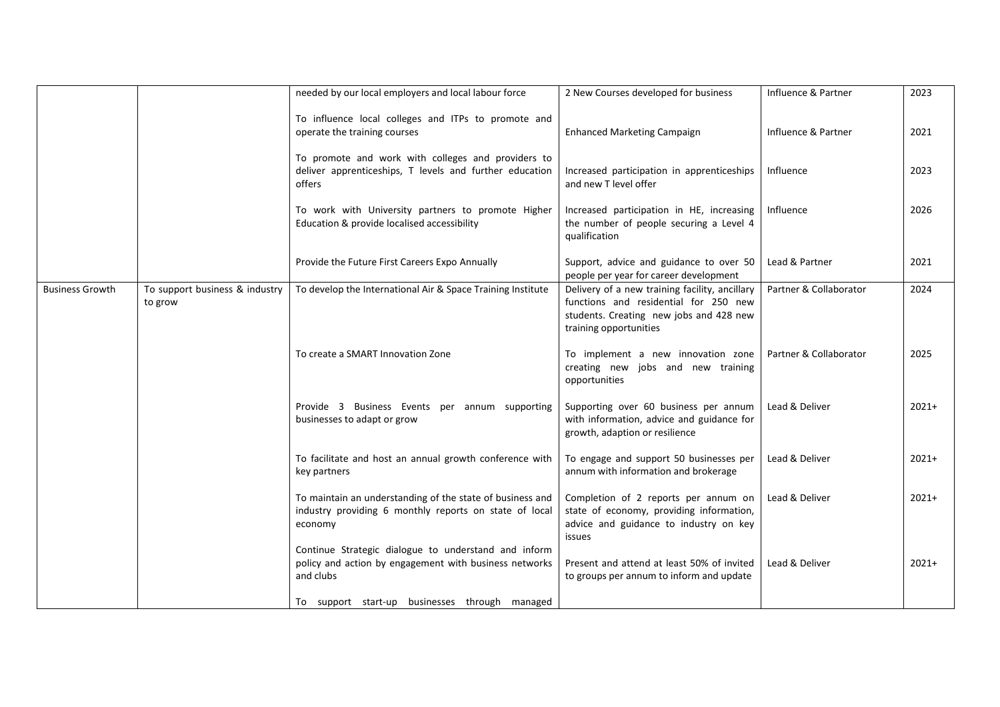|                        |                                           | needed by our local employers and local labour force                                                                           | 2 New Courses developed for business                                                                                                                         | Influence & Partner    | 2023    |
|------------------------|-------------------------------------------|--------------------------------------------------------------------------------------------------------------------------------|--------------------------------------------------------------------------------------------------------------------------------------------------------------|------------------------|---------|
|                        |                                           | To influence local colleges and ITPs to promote and<br>operate the training courses                                            | <b>Enhanced Marketing Campaign</b>                                                                                                                           | Influence & Partner    | 2021    |
|                        |                                           | To promote and work with colleges and providers to<br>deliver apprenticeships, T levels and further education<br>offers        | Increased participation in apprenticeships<br>and new T level offer                                                                                          | Influence              | 2023    |
|                        |                                           | To work with University partners to promote Higher<br>Education & provide localised accessibility                              | Increased participation in HE, increasing<br>the number of people securing a Level 4<br>qualification                                                        | Influence              | 2026    |
|                        |                                           | Provide the Future First Careers Expo Annually                                                                                 | Support, advice and guidance to over 50<br>people per year for career development                                                                            | Lead & Partner         | 2021    |
| <b>Business Growth</b> | To support business & industry<br>to grow | To develop the International Air & Space Training Institute                                                                    | Delivery of a new training facility, ancillary<br>functions and residential for 250 new<br>students. Creating new jobs and 428 new<br>training opportunities | Partner & Collaborator | 2024    |
|                        |                                           | To create a SMART Innovation Zone                                                                                              | To implement a new innovation zone<br>creating new jobs and new training<br>opportunities                                                                    | Partner & Collaborator | 2025    |
|                        |                                           | Provide 3 Business Events per annum supporting<br>businesses to adapt or grow                                                  | Supporting over 60 business per annum<br>with information, advice and guidance for<br>growth, adaption or resilience                                         | Lead & Deliver         | $2021+$ |
|                        |                                           | To facilitate and host an annual growth conference with<br>key partners                                                        | To engage and support 50 businesses per<br>annum with information and brokerage                                                                              | Lead & Deliver         | $2021+$ |
|                        |                                           | To maintain an understanding of the state of business and<br>industry providing 6 monthly reports on state of local<br>economy | Completion of 2 reports per annum on<br>state of economy, providing information,<br>advice and guidance to industry on key<br>issues                         | Lead & Deliver         | $2021+$ |
|                        |                                           | Continue Strategic dialogue to understand and inform<br>policy and action by engagement with business networks<br>and clubs    | Present and attend at least 50% of invited<br>to groups per annum to inform and update                                                                       | Lead & Deliver         | $2021+$ |
|                        |                                           | To support start-up businesses through managed                                                                                 |                                                                                                                                                              |                        |         |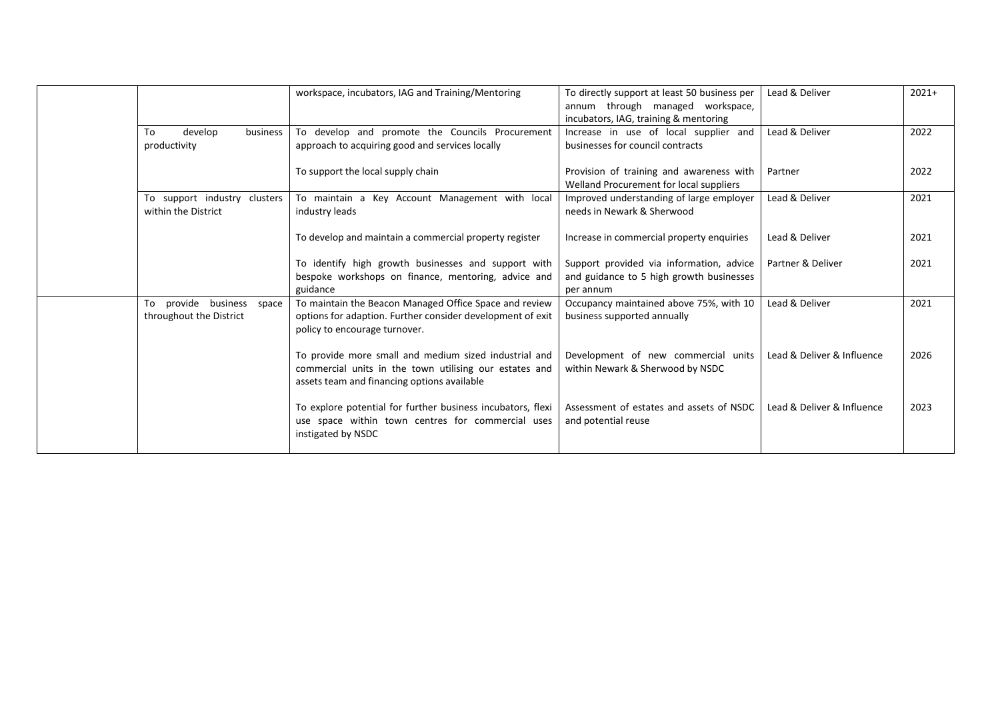|                              | workspace, incubators, IAG and Training/Mentoring                                                                                                              | To directly support at least 50 business per<br>annum through managed workspace, | Lead & Deliver             | $2021+$ |
|------------------------------|----------------------------------------------------------------------------------------------------------------------------------------------------------------|----------------------------------------------------------------------------------|----------------------------|---------|
|                              |                                                                                                                                                                | incubators, IAG, training & mentoring                                            |                            |         |
| develop<br>business<br>To    | To develop and promote the Councils Procurement                                                                                                                | Increase in use of local supplier and                                            | Lead & Deliver             | 2022    |
| productivity                 | approach to acquiring good and services locally                                                                                                                | businesses for council contracts                                                 |                            |         |
|                              | To support the local supply chain                                                                                                                              | Provision of training and awareness with                                         | Partner                    | 2022    |
|                              |                                                                                                                                                                | Welland Procurement for local suppliers                                          |                            |         |
| To support industry clusters | To maintain a Key Account Management with local                                                                                                                | Improved understanding of large employer                                         | Lead & Deliver             | 2021    |
| within the District          | industry leads                                                                                                                                                 | needs in Newark & Sherwood                                                       |                            |         |
|                              | To develop and maintain a commercial property register                                                                                                         | Increase in commercial property enquiries                                        | Lead & Deliver             | 2021    |
|                              | To identify high growth businesses and support with                                                                                                            | Support provided via information, advice                                         | Partner & Deliver          | 2021    |
|                              | bespoke workshops on finance, mentoring, advice and<br>guidance                                                                                                | and guidance to 5 high growth businesses<br>per annum                            |                            |         |
| provide business space<br>To | To maintain the Beacon Managed Office Space and review                                                                                                         | Occupancy maintained above 75%, with 10                                          | Lead & Deliver             | 2021    |
| throughout the District      | options for adaption. Further consider development of exit<br>policy to encourage turnover.                                                                    | business supported annually                                                      |                            |         |
|                              | To provide more small and medium sized industrial and<br>commercial units in the town utilising our estates and<br>assets team and financing options available | Development of new commercial units<br>within Newark & Sherwood by NSDC          | Lead & Deliver & Influence | 2026    |
|                              | To explore potential for further business incubators, flexi<br>use space within town centres for commercial uses<br>instigated by NSDC                         | Assessment of estates and assets of NSDC<br>and potential reuse                  | Lead & Deliver & Influence | 2023    |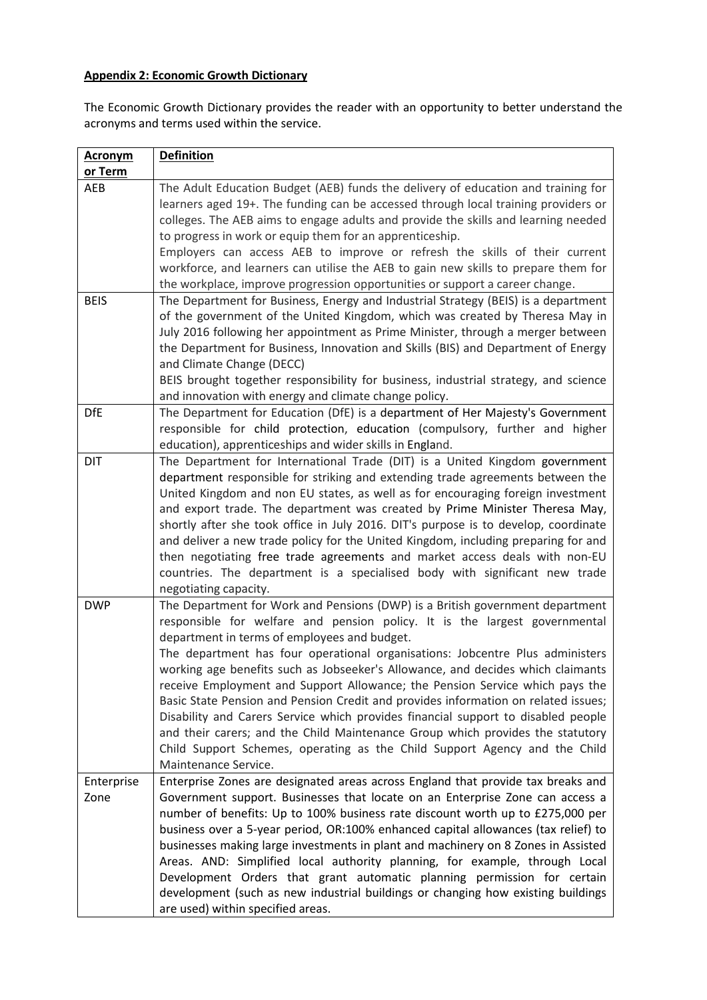### **Appendix 2: Economic Growth Dictionary**

The Economic Growth Dictionary provides the reader with an opportunity to better understand the acronyms and terms used within the service.

| <b>Acronym</b> | <b>Definition</b>                                                                                                                                               |
|----------------|-----------------------------------------------------------------------------------------------------------------------------------------------------------------|
| or Term        |                                                                                                                                                                 |
| AEB            | The Adult Education Budget (AEB) funds the delivery of education and training for                                                                               |
|                | learners aged 19+. The funding can be accessed through local training providers or                                                                              |
|                | colleges. The AEB aims to engage adults and provide the skills and learning needed                                                                              |
|                | to progress in work or equip them for an apprenticeship.                                                                                                        |
|                | Employers can access AEB to improve or refresh the skills of their current                                                                                      |
|                | workforce, and learners can utilise the AEB to gain new skills to prepare them for                                                                              |
|                | the workplace, improve progression opportunities or support a career change.                                                                                    |
| <b>BEIS</b>    | The Department for Business, Energy and Industrial Strategy (BEIS) is a department                                                                              |
|                | of the government of the United Kingdom, which was created by Theresa May in                                                                                    |
|                | July 2016 following her appointment as Prime Minister, through a merger between                                                                                 |
|                | the Department for Business, Innovation and Skills (BIS) and Department of Energy                                                                               |
|                | and Climate Change (DECC)                                                                                                                                       |
|                | BEIS brought together responsibility for business, industrial strategy, and science                                                                             |
|                | and innovation with energy and climate change policy.                                                                                                           |
| <b>DfE</b>     | The Department for Education (DfE) is a department of Her Majesty's Government<br>responsible for child protection, education (compulsory, further and higher   |
|                | education), apprenticeships and wider skills in England.                                                                                                        |
| DIT            | The Department for International Trade (DIT) is a United Kingdom government                                                                                     |
|                | department responsible for striking and extending trade agreements between the                                                                                  |
|                | United Kingdom and non EU states, as well as for encouraging foreign investment                                                                                 |
|                | and export trade. The department was created by Prime Minister Theresa May,                                                                                     |
|                | shortly after she took office in July 2016. DIT's purpose is to develop, coordinate                                                                             |
|                | and deliver a new trade policy for the United Kingdom, including preparing for and                                                                              |
|                | then negotiating free trade agreements and market access deals with non-EU                                                                                      |
|                | countries. The department is a specialised body with significant new trade                                                                                      |
|                | negotiating capacity.                                                                                                                                           |
| <b>DWP</b>     | The Department for Work and Pensions (DWP) is a British government department                                                                                   |
|                | responsible for welfare and pension policy. It is the largest governmental                                                                                      |
|                | department in terms of employees and budget.                                                                                                                    |
|                | The department has four operational organisations: Jobcentre Plus administers                                                                                   |
|                | working age benefits such as Jobseeker's Allowance, and decides which claimants                                                                                 |
|                | receive Employment and Support Allowance; the Pension Service which pays the                                                                                    |
|                | Basic State Pension and Pension Credit and provides information on related issues;                                                                              |
|                | Disability and Carers Service which provides financial support to disabled people                                                                               |
|                | and their carers; and the Child Maintenance Group which provides the statutory                                                                                  |
|                | Child Support Schemes, operating as the Child Support Agency and the Child                                                                                      |
|                | Maintenance Service.                                                                                                                                            |
| Enterprise     | Enterprise Zones are designated areas across England that provide tax breaks and                                                                                |
| Zone           | Government support. Businesses that locate on an Enterprise Zone can access a<br>number of benefits: Up to 100% business rate discount worth up to £275,000 per |
|                | business over a 5-year period, OR:100% enhanced capital allowances (tax relief) to                                                                              |
|                | businesses making large investments in plant and machinery on 8 Zones in Assisted                                                                               |
|                | Areas. AND: Simplified local authority planning, for example, through Local                                                                                     |
|                | Development Orders that grant automatic planning permission for certain                                                                                         |
|                | development (such as new industrial buildings or changing how existing buildings                                                                                |
|                | are used) within specified areas.                                                                                                                               |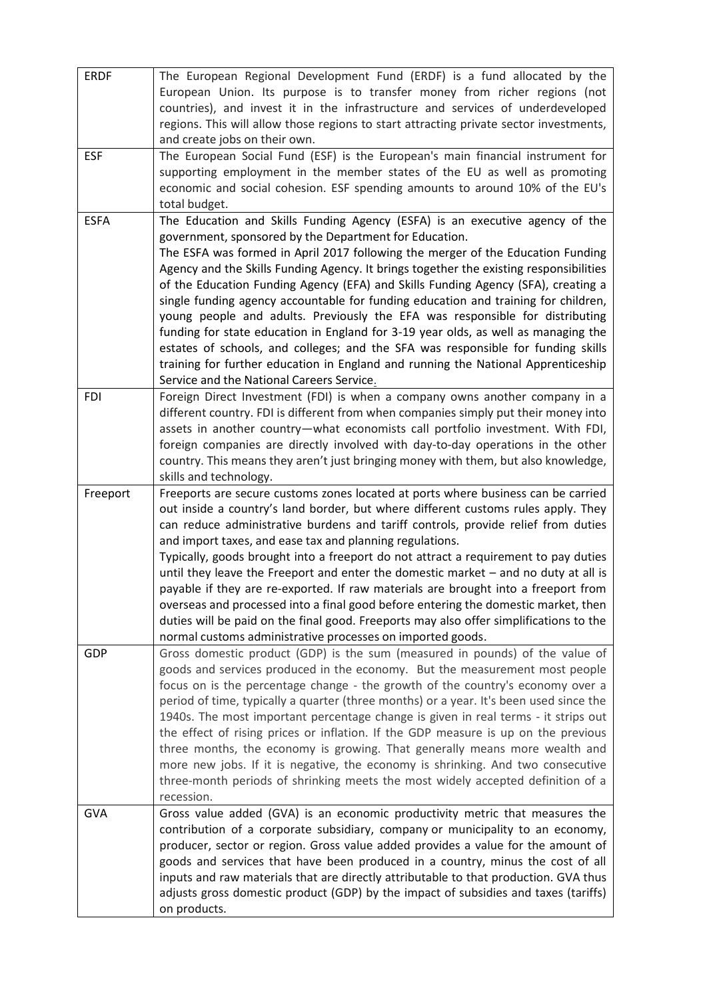| <b>ERDF</b> | The European Regional Development Fund (ERDF) is a fund allocated by the<br>European Union. Its purpose is to transfer money from richer regions (not<br>countries), and invest it in the infrastructure and services of underdeveloped<br>regions. This will allow those regions to start attracting private sector investments,<br>and create jobs on their own.                                                                                                                                                                                                                                                                                                                                                                                                                                                                                                                         |
|-------------|--------------------------------------------------------------------------------------------------------------------------------------------------------------------------------------------------------------------------------------------------------------------------------------------------------------------------------------------------------------------------------------------------------------------------------------------------------------------------------------------------------------------------------------------------------------------------------------------------------------------------------------------------------------------------------------------------------------------------------------------------------------------------------------------------------------------------------------------------------------------------------------------|
| <b>ESF</b>  | The European Social Fund (ESF) is the European's main financial instrument for<br>supporting employment in the member states of the EU as well as promoting<br>economic and social cohesion. ESF spending amounts to around 10% of the EU's<br>total budget.                                                                                                                                                                                                                                                                                                                                                                                                                                                                                                                                                                                                                               |
| <b>ESFA</b> | The Education and Skills Funding Agency (ESFA) is an executive agency of the<br>government, sponsored by the Department for Education.<br>The ESFA was formed in April 2017 following the merger of the Education Funding<br>Agency and the Skills Funding Agency. It brings together the existing responsibilities<br>of the Education Funding Agency (EFA) and Skills Funding Agency (SFA), creating a<br>single funding agency accountable for funding education and training for children,<br>young people and adults. Previously the EFA was responsible for distributing<br>funding for state education in England for 3-19 year olds, as well as managing the<br>estates of schools, and colleges; and the SFA was responsible for funding skills<br>training for further education in England and running the National Apprenticeship<br>Service and the National Careers Service. |
| <b>FDI</b>  | Foreign Direct Investment (FDI) is when a company owns another company in a<br>different country. FDI is different from when companies simply put their money into<br>assets in another country-what economists call portfolio investment. With FDI,<br>foreign companies are directly involved with day-to-day operations in the other<br>country. This means they aren't just bringing money with them, but also knowledge,<br>skills and technology.                                                                                                                                                                                                                                                                                                                                                                                                                                    |
| Freeport    | Freeports are secure customs zones located at ports where business can be carried<br>out inside a country's land border, but where different customs rules apply. They<br>can reduce administrative burdens and tariff controls, provide relief from duties<br>and import taxes, and ease tax and planning regulations.<br>Typically, goods brought into a freeport do not attract a requirement to pay duties<br>until they leave the Freeport and enter the domestic market - and no duty at all is<br>payable if they are re-exported. If raw materials are brought into a freeport from<br>overseas and processed into a final good before entering the domestic market, then<br>duties will be paid on the final good. Freeports may also offer simplifications to the<br>normal customs administrative processes on imported goods.                                                  |
| <b>GDP</b>  | Gross domestic product (GDP) is the sum (measured in pounds) of the value of<br>goods and services produced in the economy. But the measurement most people<br>focus on is the percentage change - the growth of the country's economy over a<br>period of time, typically a quarter (three months) or a year. It's been used since the<br>1940s. The most important percentage change is given in real terms - it strips out<br>the effect of rising prices or inflation. If the GDP measure is up on the previous<br>three months, the economy is growing. That generally means more wealth and<br>more new jobs. If it is negative, the economy is shrinking. And two consecutive<br>three-month periods of shrinking meets the most widely accepted definition of a<br>recession.                                                                                                      |
| <b>GVA</b>  | Gross value added (GVA) is an economic productivity metric that measures the<br>contribution of a corporate subsidiary, company or municipality to an economy,<br>producer, sector or region. Gross value added provides a value for the amount of<br>goods and services that have been produced in a country, minus the cost of all<br>inputs and raw materials that are directly attributable to that production. GVA thus<br>adjusts gross domestic product (GDP) by the impact of subsidies and taxes (tariffs)<br>on products.                                                                                                                                                                                                                                                                                                                                                        |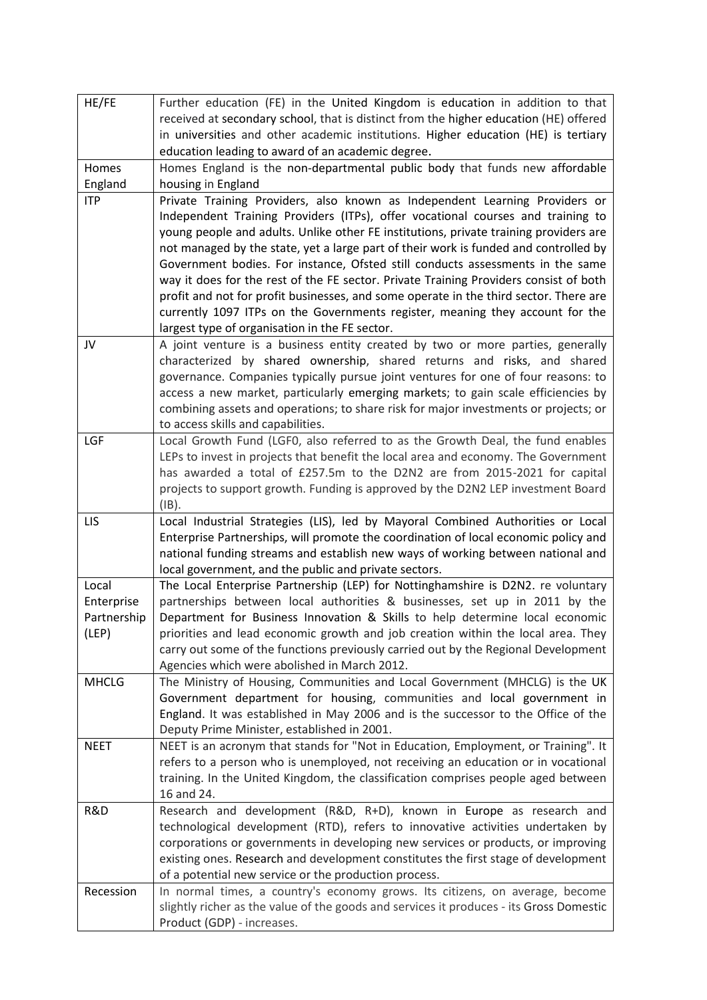| HE/FE        | Further education (FE) in the United Kingdom is education in addition to that                                                                                |
|--------------|--------------------------------------------------------------------------------------------------------------------------------------------------------------|
|              | received at secondary school, that is distinct from the higher education (HE) offered                                                                        |
|              | in universities and other academic institutions. Higher education (HE) is tertiary                                                                           |
|              | education leading to award of an academic degree.                                                                                                            |
| Homes        | Homes England is the non-departmental public body that funds new affordable                                                                                  |
| England      | housing in England                                                                                                                                           |
| <b>ITP</b>   | Private Training Providers, also known as Independent Learning Providers or                                                                                  |
|              | Independent Training Providers (ITPs), offer vocational courses and training to                                                                              |
|              | young people and adults. Unlike other FE institutions, private training providers are                                                                        |
|              | not managed by the state, yet a large part of their work is funded and controlled by                                                                         |
|              | Government bodies. For instance, Ofsted still conducts assessments in the same                                                                               |
|              | way it does for the rest of the FE sector. Private Training Providers consist of both                                                                        |
|              | profit and not for profit businesses, and some operate in the third sector. There are                                                                        |
|              | currently 1097 ITPs on the Governments register, meaning they account for the                                                                                |
|              | largest type of organisation in the FE sector.                                                                                                               |
| JV           | A joint venture is a business entity created by two or more parties, generally                                                                               |
|              | characterized by shared ownership, shared returns and risks, and shared<br>governance. Companies typically pursue joint ventures for one of four reasons: to |
|              | access a new market, particularly emerging markets; to gain scale efficiencies by                                                                            |
|              | combining assets and operations; to share risk for major investments or projects; or                                                                         |
|              | to access skills and capabilities.                                                                                                                           |
| LGF          | Local Growth Fund (LGF0, also referred to as the Growth Deal, the fund enables                                                                               |
|              | LEPs to invest in projects that benefit the local area and economy. The Government                                                                           |
|              | has awarded a total of £257.5m to the D2N2 are from 2015-2021 for capital                                                                                    |
|              | projects to support growth. Funding is approved by the D2N2 LEP investment Board                                                                             |
|              | $(IB)$ .                                                                                                                                                     |
| <b>LIS</b>   | Local Industrial Strategies (LIS), led by Mayoral Combined Authorities or Local                                                                              |
|              | Enterprise Partnerships, will promote the coordination of local economic policy and                                                                          |
|              | national funding streams and establish new ways of working between national and                                                                              |
|              | local government, and the public and private sectors.                                                                                                        |
| Local        | The Local Enterprise Partnership (LEP) for Nottinghamshire is D2N2. re voluntary                                                                             |
| Enterprise   | partnerships between local authorities & businesses, set up in 2011 by the                                                                                   |
| Partnership  | Department for Business Innovation & Skills to help determine local economic                                                                                 |
| (LEP)        | priorities and lead economic growth and job creation within the local area. They                                                                             |
|              | carry out some of the functions previously carried out by the Regional Development                                                                           |
|              | Agencies which were abolished in March 2012.                                                                                                                 |
| <b>MHCLG</b> | The Ministry of Housing, Communities and Local Government (MHCLG) is the UK                                                                                  |
|              | Government department for housing, communities and local government in                                                                                       |
|              | England. It was established in May 2006 and is the successor to the Office of the                                                                            |
|              | Deputy Prime Minister, established in 2001.                                                                                                                  |
| <b>NEET</b>  | NEET is an acronym that stands for "Not in Education, Employment, or Training". It                                                                           |
|              | refers to a person who is unemployed, not receiving an education or in vocational                                                                            |
|              | training. In the United Kingdom, the classification comprises people aged between<br>16 and 24.                                                              |
| R&D          | Research and development (R&D, R+D), known in Europe as research and                                                                                         |
|              | technological development (RTD), refers to innovative activities undertaken by                                                                               |
|              | corporations or governments in developing new services or products, or improving                                                                             |
|              | existing ones. Research and development constitutes the first stage of development                                                                           |
|              | of a potential new service or the production process.                                                                                                        |
| Recession    | In normal times, a country's economy grows. Its citizens, on average, become                                                                                 |
|              | slightly richer as the value of the goods and services it produces - its Gross Domestic                                                                      |
|              |                                                                                                                                                              |
|              | Product (GDP) - increases.                                                                                                                                   |